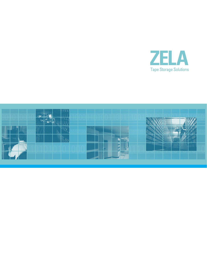

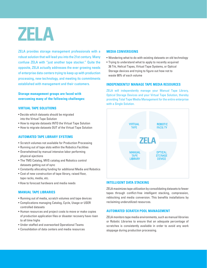ZELA

ZELA provides storage management professionals with a robust solution that will lead you into the 21st century. Many confuse ZELA with "just another tape stacker." Quite the opposite, ZELA actually addresses the ever growing needs of enterprise data centers trying to keep up with production processing, new technology, and meeting its commitments established with management and their customers.

# **Storage management groups are faced with overcoming many of the following challenges:**

# **VIRTUAL TAPE SOLUTIONS**

- Decide which datasets should be migrated into the Virtual Tape Solution
- How to migrate datasets INTO the Virtual Tape Solution
- How to migrate datasets OUT of the Virtual Tape Solution

# **AUTOMATED TAPE LIBRARY SYSTEMS**

- Scratch volumes not available for Production Processing
- Running out of tape slots within the Robotics Facilities
- Overwhelmed by manual intensive labor performing physical ejections
- The TMS Catalog, MVS catalog and Robotics control datasets getting out of sync
- Constantly allocating funding for additional Media and Robotics
- • Cost of new construction of tape library, raised floor, tape racks, media, etc.
- How to forecast hardware and media needs

## **MANUAL TAPE LIBRARIES**

- • Running out of media, scratch volumes and tape devices
- • Complications managing Catalog, Cycle, Usage or USER controlled datasets
- Human resources and project costs to move or make copies of production application files or disaster recovery have risen to all time highs
- • Under-staffed and overworked Operational Teams
- • Consolidation of data centers and media resources

#### **MEDIA CONVERSIONS**

- • Wondering what to do with existing datasets on old technology
- • Trying to understand what to apply to recently acquired 36 Trk, Helical Tapes, Virtual Tape Systems, or Optical Storage devices and trying to figure out how not to waste 90% of each volume

## **INDEPENDENTLY MANAGE TAPE MEDIA RESOURCES**

ZELA will independently manage your Manual Tape Library, Optical Storage Devices and your Virtual Tape Solution, thereby providing Total Tape Media Management for the entire enterprise with a Single Solution.



# **INTELLIGENT DATA STACKING**

ZELA maximizes tape utilization by consolidating datasets to fewer tapes through conflict-free intelligent stacking, compression, reblocking and media conversion. This benefits installations by reclaiming underutilized resources.

# **AUTOMATED SCRATCH POOL MANAGEMENT**

ZELA monitors tape media environments, such as manual libraries or Robotic Libraries to ensure that an adequate percentage of scratches is consistently available in order to avoid any work stoppage during production processing.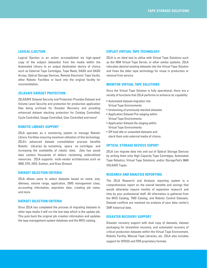#### **LOGICAL EJECTION**

Logical Ejection is an action accomplished via high-speed copy of the subject dataset(s) from the media within the Automated Library to an output destination device of choice such as External Tape Cartridges, Tape Reels, DASD and DASD Arrays, Optical Storage Devices, Remote Electronic Tape Vaults, other Robotic Facilities or back into the original facility for reconsolidation.

# **ZELASAFE DATASET PROTECTION**

ZELASAFE Dataset Security and Protection Provides Dataset and Volume Level Security and protection for production application files being archived for Disaster Recovery and providing enhanced dataset stacking protection for Catalog Controlled, Cycle Controlled, Usage Controlled, User Controlled and more!

#### **ROBOTIC LIBRARY SUPPORT**

ZELA operates as a monitoring system to manage Robotic Library Facilities ensuring maximum utilization of this technology. ZELA's advanced dataset consolidation process benefits Robotic Libraries by reclaiming space on cartridges and increasing the availability of robotic slots. Zela has saved data centers thousands of dollars reclaiming underutilized resources. ZELA supports multi-vendor architectures such as IBM, STK, HDS, Sutmyn, and Grau (Emass).

#### **DATASET SELECTION CRITERIA**

ZELA allows users to select datasets based on name, size, idleness, volume range, application, SMS management class, accounting information, expiration date, creating job name, and more.

## **DATASET SELECTION CRITERIA**

Once ZELA has completed the process of migrating datasets to other tape media it will run the last step which is the update job. This puts back the original job creation information and updates the tape management system database and the MVS catalog.

#### **EXPLOIT VIRTUAL TAPE TECHNOLOGY**

ZELA is an ideal tool to utilize with Virtual Tape Solutions such as the IBM Virtual Tape Server, or other similar systems. ZELA relocates desired existing datasets into the Virtual Tape Solution and frees the older tape technology for reuse in production or removal from service.

## **MONITOR VIRTUAL TAPE SOLUTIONS**

Once the Virtual Tape Solution is fully operational, there are a variety of functions that ZELA performs to enhance its capability:

- • Automated dataset migration into Virtual Tape Environments
- • Unstacking of previously stacked datasets
- • Application Dataset Pre-staging within Virtual Tape Environments
- Application Dataset De-staging within Virtual Tape Environments
- • Off load idle or unwanted datasets and stack them onto external media of choice.

# **OPTICAL STORAGE DEVICES SUPORT**

ZELA can migrate data into and out of Optical Storage Devices by writing them onto High Capacity Tape Cartridges, Automated Tape Robotics, Virtual Tape Solutions, and/or StorageTek's 9840 VOLSAFE Tapes.

## **RESEARCH AND ANALYSIS REPORTING**

The ZELA Research and Analysis reporting system is a comprehensive report on the overall benefits and savings that would otherwise require months of expensive research and time by your professional staff. All information is gathered from the MVS Catalog, TMS Catalog, and Robotic Control Datasets. Dataset conflicts are resolved via analysis of your data center's SMF historical data.

#### **DISASTER RECOVERY SUPPORT**

Disaster recovery support with dual copy of datasets, dataset packaging for streamline recovery, and automated recovery of critical production datasets within the Virtual Tape Environment, Robotic Facility, Manual Tape Libraries, etc. ZELA also includes support for DFDSS and FDR proprietary formats.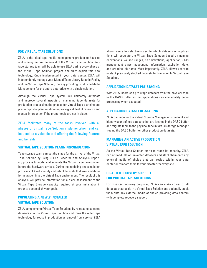## **FOR VIRTUAL TAPE SOLUTIONS**

ZELA is the ideal tape media management product to have up and running before the arrival of the Virtual Tape Solution. Your tape storage team will be able to use ZELA during every phase of the Virtual Tape Solution project and fully exploit this new technology. Once implemented in your data center, ZELA will independently manage your Manual Tape Library Robotic Facility and the Virtual Tape Solution, thereby providing Total Tape Media Management for the entire enterprise with a single solution.

Although the Virtual Tape system will ultimately automate and improve several aspects of managing tape datasets for production processing, the phases for Virtual Tape planning and pre-and-post implementation require a great deal of research and manual intervention if the proper tools are not in place.

ZELA facilitates many of the tasks involved with all phases of Virtual Tape Solution implementation, and can be used as a valuable tool offering the following features and benefits:

#### **VIRTUAL TAPE SOLUTION PLANNING/SIMULATION**

Tape storage team can set the stage for the arrival of the Virtual Tape Solution by using ZELA's Research and Analysis Reporting process to model and simulate the Virtual Tape Environment before the hardware arrives. During the modeling and simulation process ZELA will identify and select datasets that are candidates for migration into the Virtual Tape environment. The result of this analysis will provide information for a clear assessment of the Virtual Tape Storage capacity required at your installation in order to accomplish your goals.

# **POPULATING A NEWLY INSTALLED VIRTUAL TAPE SOLUTION**

ZELA complements Virtual Tape Solutions by relocating selected datasets into the Virtual Tape Solution and frees the older tape technology for reuse in production or removal from service. ZELA allows users to selectively decide which datasets or applications will populate the Virtual Tape Solution based on naming conventions, volume ranges, size limitations, application, SMS management class, accounting information, expiration date, and creating job name. Most importantly, ZELA allows users to unstack previously stacked datasets for transition to Virtual Tape Solutions.

#### **APPLICATION DATASET PRE-STAGING**

With ZELA, users can pre-stage datasets from the physical tape to the DASD buffer so that applications can immediately begin processing when executed.

#### **APPLICATION DATASET DE-STAGING**

ZELA can monitor the Virtual Storage Manager environment and identify user defined datasets that are located in the DASD buffer and migrate them to the physical tape in Virtual Storage Manager freeing the DASD buffer for other production datasets.

# **MANAGING AN ACTIVE PRODUCTION VIRTUAL TAPE SOLUTION**

As the Virtual Tape Solution starts to reach its capacity, ZELA can off-load idle or unwanted datasets and stack them onto any external media of choice that can reside within your data center or relocate them to your disaster recovery site.

# **DISASTER RECOVERY SUPPORT FOR VIRTUAL TAPE SOLUTIONS**

For Disaster Recovery purposes, ZELA can make copies of all datasets that reside in a Virtual Tape Solution and optionally stack them onto any external media of choice providing data centers with complete recovery support.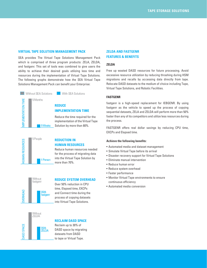#### **VIRTUAL TAPE SOLUTION MANAGEMENT PACK**

SEA provides The Virtual Tape Solutions Management Pack which is comprised of three program products: ZELA, ZELDA, and fastgenr. This set of tools was combined to give users the ability to achieve their desired goals utilizing less time and resources during the implementation of Virtual Tape Solutions. The following graphs demonstrate how the SEA Virtual Tape Solutions Management Pack can benefit your Enterprise:



#### **With SEA Solutions**

# **IMPLEMENTATION TIME**

Reduce the time required for the implementation of the Virtual Tape Solution by more than 80%.



# **REDUCTION IN HUMAN RESOURCES**

Reduce human resources needed for the process of migrating data into the Virtual Tape Solution by more than 70%.



#### **REDUCE SYSTEM OVERHEAD**

Over 50% reduction in CPU time, Elapsed time, EXCPs and Connect time during the process of copying datasets into Virtual Tape Solutions.



# **RECLAIM DASD SPACE**

Reclaim up to 30% of DASD space by migrating datasets from DASD to tape or Virtual Tape.

# **ZELDA AND FASTGENR FEATURES & BENEFITS**

#### **ZELDA**

Free up wasted DASD resources for future processing. Avoid excessive resource utilization by reducing thrashing during HSM migrations and recalls by accessing data directly from tape. Relocate DASD datasets to the medium of choice including Tape, Virtual Tape Solutions, and Robotic Facilities.

## **FASTGENR**

fastgenr is a high-speed replacement for IEBGENR. By using fastgenr as the vehicle to speed up the process of copying sequential datasets, ZELA and ZELDA will perform more than 50% faster than any of its competitors and utilize less resources during the process.

FASTGENR offers real dollar savings by reducing CPU time, EXCPs and Elapsed time.

#### **Achieve the following benefits:**

- • Automated media and dataset management
- • Simulate Virtual Tape before its arrival
- Disaster recovery support for Virtual Tape Solutions
- • Eliminate manual intervention
- • Reduce human error
- Reduce system overhead
- • Faster performance
- Monitor Virtual Tape environments to ensure continuous efficiency
- • Automated media conversion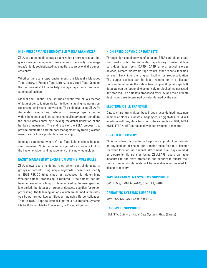#### **HIGH PERFORMANCE REMOVABLE MEDIA MAXIMIZER**

ZELA is a tape media storage optimization program product that gives storage management professionals the ability to manage today's highly sophisticated tape media resources with the utmost efficiency.

Whether the user's tape environment is a Manually Managed Tape Library, a Robotic Tape Library, or a Virtual Tape Solution, the purpose of ZELA is to help manage tape resources in an automated fashion.

Manual and Robotic Tape Libraries benefit from ZELA's method of dataset consolidation via its intelligent stacking, compression, reblocking, and media conversion. The objective using ZELA for Automated Tape Library Systems is to manage tape resources within the robotic facilities without manual intervention, benefiting the entire data center by providing maximum utilization of the hardware investment. The end result of the ZELA process is to provide automated scratch pool management by freeing wasted resources for future production processing.

In today's data center where Virtual Tape Solutions have become very prevalent, ZELA has been recognized as a primary tool for the implementation and management of this new technology.

#### **EASILY MANAGED BY EXCEPTION WITH SIMPLE RULES**

ZELA allows users to define rules which control datasets or groups of datasets using simple keywords. These rules specify an IDLE PERIOD (time since last accessed) for determining whether dataset processing is required. If the dataset has not been accessed for a length of time exceeding the user specified idle period, the dataset or group of datasets qualifies for Action processing. The following actions, which are defined in the rules, can be performed: Logical Ejection (including Re-consolidation, Tape-to-DASD, Tape-to-Optical, Electronic File Transfer, Dynamic Media Rotation) Media Conversion, or Physical Ejection.

#### **HIGH SPEED COPYING OF DATASETS**

Through high-speed copying of datasets, ZELA can relocate data from media within the automated tape library to external tape cartridges, tape reels, DASD, DASD arrays, optical storage devices, remote electronic tape vaults, other robotic facilities, or even back into the original facility for re-consolidation. The output devices can be local, remote, or in a disaster recovery location. As the data is being copied (logically ejected), datasets can be (optionally) selectively re-blocked, compressed, and stacked. The datasets processed by ZELA, and their ultimate destinations are determined by rules defined by the user.

#### **ELECTRONIC FILE TRANSFER**

Datasets are transmitted based upon user-defined maximum number of blocks, kilobytes, megabytes, or gigabytes. ZELA will interface with any data transfer software such as: BDT, NDM, XMIT, TTRAN, AFT, in-house developed systems, and more.

#### **DISASTER RECOVERY**

ZELA will allow the user to package critical production datasets on any medium of choice and transfer these files to a disaster recovery location via channel attachment, dual copy (media), or electronic file transfer. Using ZELASAFE, users can take measures to add extra protection and security to ensure their critical production datasets will be available when needed for disaster recovery.

#### **TAPE MANAGEMENT SYSTEMS SUPPORTED**

CA1, TLMS, RMM, tape2000, Control T, ZARA

#### **OPERATING SYSTEMS SUPPORTED**

MVS/ESA, MVSXA, OS/390 and z/OS

#### **HARDWARE SUPPORTED**

IBM, STK, Sutmyn, Hitachi Data Systems, Grau (Emass)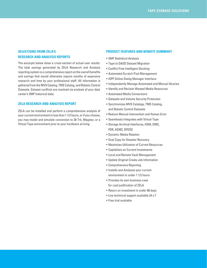# **SELECTIONS FROM ZELA'S RESEARCH AND ANALYSIS REPORTS**

The excerpts below show a cross-section of actual user results. The total savings generated by ZELA Research and Analysis reporting system is a comprehensive report on the overall benefits and savings that would otherwise require months of expensive research and time by your professional staff. All information is gathered from the MVS Catalog, TMS Catalog, and Robotic Control Datasets. Dataset conflicts are resolved via analysis of your data center's SMF historical data.

## **ZELA RESEARCH AND ANALYSIS REPORT**

ZELA can be installed and perform a comprehensive analysis of your current environment in less than 1 1/2 hours, or if you choose, you may model and simulate conversion to 36 Trk, Magstar, or a Virtual Tape environment prior to your hardware arriving.

#### **PRODUCT FEATURES AND BENEFIT SUMMARY**

- • SMF Statistical Analysis
- Tape to DASD Dataset Migration
- • Conflict Free Intelligent Stacking
- • Automated Scratch Pool Management
- • ISPF Online Dialog Manager Interface
- Independently Manage Automated and Manual libraries
- • Identify and Reclaim Wasted Media Resources
- • Automated Media Conversions
- • Datasets and Volume Security Protection
- • Synchronizes MVS Catalogs, TMS Catalog, and Robotic Control Datasets
- Reduce Manual Intervention and Human Error
- • Seamlessly Integrates with Virtual Tape
- • Storage Archival Interfaces, HSM, DMS, FDR, ASM2, DFDSS
- • Dynamic Media Rotation
- • Dual Copy for Disaster Recovery
- • Maximizes Utilization of Current Resources
- • Capitalizes on Current Investments
- • Local and Remote Vault Management
- • Update Original Create Job Information
- • Comprehensive Reporting
- Installs and Analyzes your current environment in under 1 1/2 hours
- • Provides its own business case for cost justification of ZELA
- • Return on investment in under 90 days
- Live technical support available 24 x 7
- • Free trial available